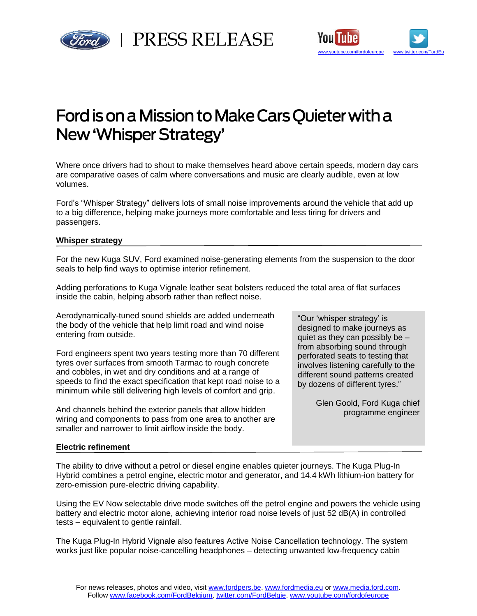



# Ford is on a Mission to Make Cars Quieter with a New 'Whisper Strategy'

Where once drivers had to shout to make themselves heard above certain speeds, modern day cars are comparative oases of calm where conversations and music are clearly audible, even at low volumes.

Ford's "Whisper Strategy" delivers lots of small noise improvements around the vehicle that add up to a big difference, helping make journeys more comfortable and less tiring for drivers and passengers.

# **Whisper strategy**

For the new Kuga SUV, Ford examined noise-generating elements from the suspension to the door seals to help find ways to optimise interior refinement.

Adding perforations to Kuga Vignale leather seat bolsters reduced the total area of flat surfaces inside the cabin, helping absorb rather than reflect noise.

Aerodynamically-tuned sound shields are added underneath the body of the vehicle that help limit road and wind noise entering from outside.

Ford engineers spent two years testing more than 70 different tyres over surfaces from smooth Tarmac to rough concrete and cobbles, in wet and dry conditions and at a range of speeds to find the exact specification that kept road noise to a minimum while still delivering high levels of comfort and grip.

And channels behind the exterior panels that allow hidden wiring and components to pass from one area to another are smaller and narrower to limit airflow inside the body.

"Our 'whisper strategy' is designed to make journeys as quiet as they can possibly be – from absorbing sound through perforated seats to testing that involves listening carefully to the different sound patterns created by dozens of different tyres."

> Glen Goold, Ford Kuga chief programme engineer

# **Electric refinement**

The ability to drive without a petrol or diesel engine enables quieter journeys. The Kuga Plug-In Hybrid combines a petrol engine, electric motor and generator, and 14.4 kWh lithium-ion battery for zero-emission pure-electric driving capability.

Using the EV Now selectable drive mode switches off the petrol engine and powers the vehicle using battery and electric motor alone, achieving interior road noise levels of just 52 dB(A) in controlled tests – equivalent to gentle rainfall.

The Kuga Plug-In Hybrid Vignale also features Active Noise Cancellation technology. The system works just like popular noise-cancelling headphones – detecting unwanted low-frequency cabin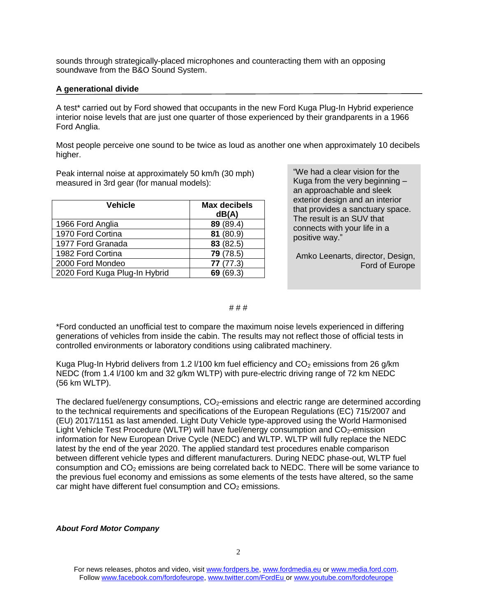sounds through strategically-placed microphones and counteracting them with an opposing soundwave from the B&O Sound System.

## **A generational divide**

A test\* carried out by Ford showed that occupants in the new Ford Kuga Plug-In Hybrid experience interior noise levels that are just one quarter of those experienced by their grandparents in a 1966 Ford Anglia.

Most people perceive one sound to be twice as loud as another one when approximately 10 decibels higher.

Peak internal noise at approximately 50 km/h (30 mph) measured in 3rd gear (for manual models):

| <b>Vehicle</b>                | <b>Max decibels</b><br>dB(A) |
|-------------------------------|------------------------------|
| 1966 Ford Anglia              | 89 (89.4)                    |
| 1970 Ford Cortina             | 81 (80.9)                    |
| 1977 Ford Granada             | 83 (82.5)                    |
| 1982 Ford Cortina             | 79 (78.5)                    |
| 2000 Ford Mondeo              | 77(77.3)                     |
| 2020 Ford Kuga Plug-In Hybrid | 69(69.3)                     |

"We had a clear vision for the Kuga from the very beginning – an approachable and sleek exterior design and an interior that provides a sanctuary space. The result is an SUV that connects with your life in a positive way."

Amko Leenarts, director, Design, Ford of Europe

#### # # #

\*Ford conducted an unofficial test to compare the maximum noise levels experienced in differing generations of vehicles from inside the cabin. The results may not reflect those of official tests in controlled environments or laboratory conditions using calibrated machinery.

Kuga Plug-In Hybrid delivers from 1.2 I/100 km fuel efficiency and  $CO<sub>2</sub>$  emissions from 26 g/km NEDC (from 1.4 l/100 km and 32 g/km WLTP) with pure-electric driving range of 72 km NEDC (56 km WLTP).

The declared fuel/energy consumptions,  $CO<sub>2</sub>$ -emissions and electric range are determined according to the technical requirements and specifications of the European Regulations (EC) 715/2007 and (EU) 2017/1151 as last amended. Light Duty Vehicle type-approved using the World Harmonised Light Vehicle Test Procedure (WLTP) will have fuel/energy consumption and  $CO<sub>2</sub>$ -emission information for New European Drive Cycle (NEDC) and WLTP. WLTP will fully replace the NEDC latest by the end of the year 2020. The applied standard test procedures enable comparison between different vehicle types and different manufacturers. During NEDC phase-out, WLTP fuel consumption and CO<sub>2</sub> emissions are being correlated back to NEDC. There will be some variance to the previous fuel economy and emissions as some elements of the tests have altered, so the same car might have different fuel consumption and  $CO<sub>2</sub>$  emissions.

### *About Ford Motor Company*

For news releases, photos and video, visit [www.fordpers.be,](http://www.fordpers.be/) [www.fordmedia.eu](http://www.fordmedia.eu/) or [www.media.ford.com.](http://www.media.ford.com/) Follo[w www.facebook.com/fordofeurope,](http://www.facebook.com/fordofeurope) [www.twitter.com/FordEu](http://www.twitter.com/FordEu) o[r www.youtube.com/fordofeurope](http://www.youtube.com/fordofeurope)